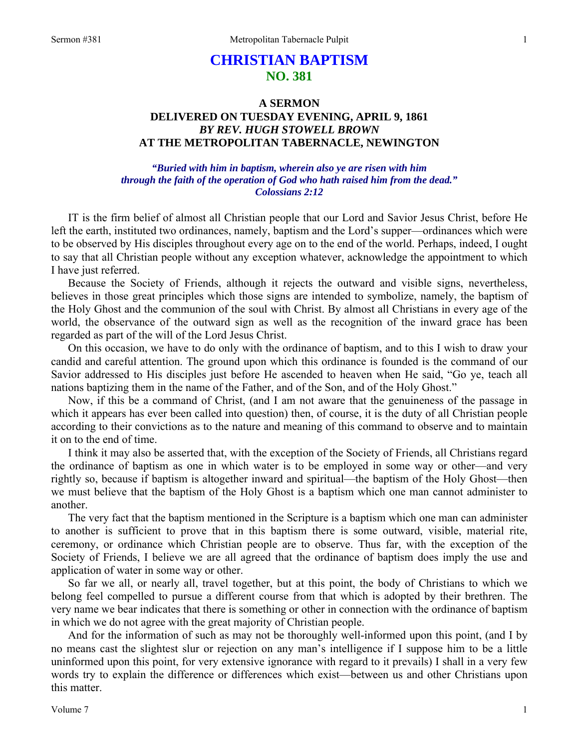# **CHRISTIAN BAPTISM NO. 381**

# **A SERMON DELIVERED ON TUESDAY EVENING, APRIL 9, 1861**  *BY REV. HUGH STOWELL BROWN*  **AT THE METROPOLITAN TABERNACLE, NEWINGTON**

## *"Buried with him in baptism, wherein also ye are risen with him through the faith of the operation of God who hath raised him from the dead." Colossians 2:12*

IT is the firm belief of almost all Christian people that our Lord and Savior Jesus Christ, before He left the earth, instituted two ordinances, namely, baptism and the Lord's supper—ordinances which were to be observed by His disciples throughout every age on to the end of the world. Perhaps, indeed, I ought to say that all Christian people without any exception whatever, acknowledge the appointment to which I have just referred.

Because the Society of Friends, although it rejects the outward and visible signs, nevertheless, believes in those great principles which those signs are intended to symbolize, namely, the baptism of the Holy Ghost and the communion of the soul with Christ. By almost all Christians in every age of the world, the observance of the outward sign as well as the recognition of the inward grace has been regarded as part of the will of the Lord Jesus Christ.

On this occasion, we have to do only with the ordinance of baptism, and to this I wish to draw your candid and careful attention. The ground upon which this ordinance is founded is the command of our Savior addressed to His disciples just before He ascended to heaven when He said, "Go ye, teach all nations baptizing them in the name of the Father, and of the Son, and of the Holy Ghost."

Now, if this be a command of Christ, (and I am not aware that the genuineness of the passage in which it appears has ever been called into question) then, of course, it is the duty of all Christian people according to their convictions as to the nature and meaning of this command to observe and to maintain it on to the end of time.

I think it may also be asserted that, with the exception of the Society of Friends, all Christians regard the ordinance of baptism as one in which water is to be employed in some way or other—and very rightly so, because if baptism is altogether inward and spiritual—the baptism of the Holy Ghost—then we must believe that the baptism of the Holy Ghost is a baptism which one man cannot administer to another.

The very fact that the baptism mentioned in the Scripture is a baptism which one man can administer to another is sufficient to prove that in this baptism there is some outward, visible, material rite, ceremony, or ordinance which Christian people are to observe. Thus far, with the exception of the Society of Friends, I believe we are all agreed that the ordinance of baptism does imply the use and application of water in some way or other.

So far we all, or nearly all, travel together, but at this point, the body of Christians to which we belong feel compelled to pursue a different course from that which is adopted by their brethren. The very name we bear indicates that there is something or other in connection with the ordinance of baptism in which we do not agree with the great majority of Christian people.

And for the information of such as may not be thoroughly well-informed upon this point, (and I by no means cast the slightest slur or rejection on any man's intelligence if I suppose him to be a little uninformed upon this point, for very extensive ignorance with regard to it prevails) I shall in a very few words try to explain the difference or differences which exist—between us and other Christians upon this matter.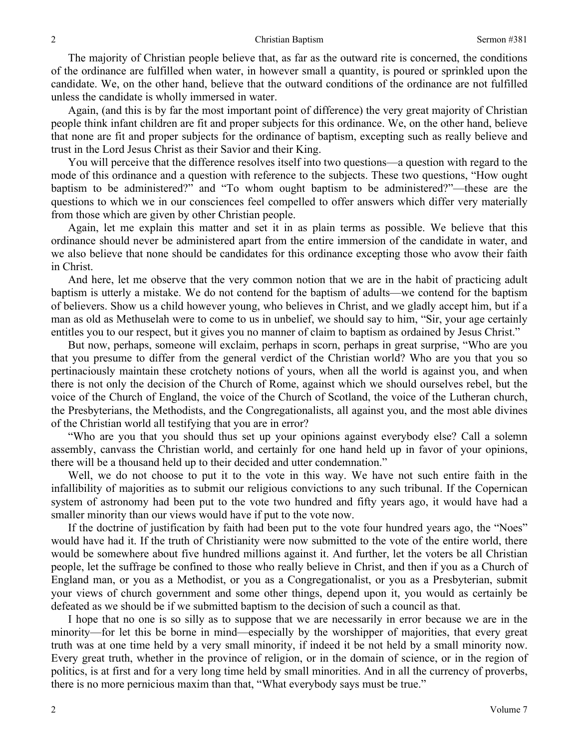The majority of Christian people believe that, as far as the outward rite is concerned, the conditions of the ordinance are fulfilled when water, in however small a quantity, is poured or sprinkled upon the candidate. We, on the other hand, believe that the outward conditions of the ordinance are not fulfilled unless the candidate is wholly immersed in water.

Again, (and this is by far the most important point of difference) the very great majority of Christian people think infant children are fit and proper subjects for this ordinance. We, on the other hand, believe that none are fit and proper subjects for the ordinance of baptism, excepting such as really believe and trust in the Lord Jesus Christ as their Savior and their King.

You will perceive that the difference resolves itself into two questions—a question with regard to the mode of this ordinance and a question with reference to the subjects. These two questions, "How ought baptism to be administered?" and "To whom ought baptism to be administered?"—these are the questions to which we in our consciences feel compelled to offer answers which differ very materially from those which are given by other Christian people.

Again, let me explain this matter and set it in as plain terms as possible. We believe that this ordinance should never be administered apart from the entire immersion of the candidate in water, and we also believe that none should be candidates for this ordinance excepting those who avow their faith in Christ.

And here, let me observe that the very common notion that we are in the habit of practicing adult baptism is utterly a mistake. We do not contend for the baptism of adults—we contend for the baptism of believers. Show us a child however young, who believes in Christ, and we gladly accept him, but if a man as old as Methuselah were to come to us in unbelief, we should say to him, "Sir, your age certainly entitles you to our respect, but it gives you no manner of claim to baptism as ordained by Jesus Christ."

But now, perhaps, someone will exclaim, perhaps in scorn, perhaps in great surprise, "Who are you that you presume to differ from the general verdict of the Christian world? Who are you that you so pertinaciously maintain these crotchety notions of yours, when all the world is against you, and when there is not only the decision of the Church of Rome, against which we should ourselves rebel, but the voice of the Church of England, the voice of the Church of Scotland, the voice of the Lutheran church, the Presbyterians, the Methodists, and the Congregationalists, all against you, and the most able divines of the Christian world all testifying that you are in error?

"Who are you that you should thus set up your opinions against everybody else? Call a solemn assembly, canvass the Christian world, and certainly for one hand held up in favor of your opinions, there will be a thousand held up to their decided and utter condemnation."

Well, we do not choose to put it to the vote in this way. We have not such entire faith in the infallibility of majorities as to submit our religious convictions to any such tribunal. If the Copernican system of astronomy had been put to the vote two hundred and fifty years ago, it would have had a smaller minority than our views would have if put to the vote now.

If the doctrine of justification by faith had been put to the vote four hundred years ago, the "Noes" would have had it. If the truth of Christianity were now submitted to the vote of the entire world, there would be somewhere about five hundred millions against it. And further, let the voters be all Christian people, let the suffrage be confined to those who really believe in Christ, and then if you as a Church of England man, or you as a Methodist, or you as a Congregationalist, or you as a Presbyterian, submit your views of church government and some other things, depend upon it, you would as certainly be defeated as we should be if we submitted baptism to the decision of such a council as that.

I hope that no one is so silly as to suppose that we are necessarily in error because we are in the minority—for let this be borne in mind—especially by the worshipper of majorities, that every great truth was at one time held by a very small minority, if indeed it be not held by a small minority now. Every great truth, whether in the province of religion, or in the domain of science, or in the region of politics, is at first and for a very long time held by small minorities. And in all the currency of proverbs, there is no more pernicious maxim than that, "What everybody says must be true."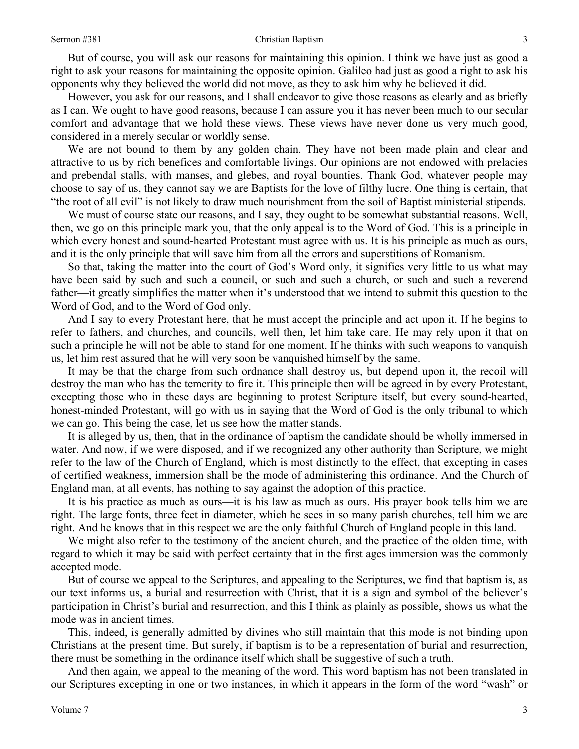But of course, you will ask our reasons for maintaining this opinion. I think we have just as good a right to ask your reasons for maintaining the opposite opinion. Galileo had just as good a right to ask his opponents why they believed the world did not move, as they to ask him why he believed it did.

However, you ask for our reasons, and I shall endeavor to give those reasons as clearly and as briefly as I can. We ought to have good reasons, because I can assure you it has never been much to our secular comfort and advantage that we hold these views. These views have never done us very much good, considered in a merely secular or worldly sense.

We are not bound to them by any golden chain. They have not been made plain and clear and attractive to us by rich benefices and comfortable livings. Our opinions are not endowed with prelacies and prebendal stalls, with manses, and glebes, and royal bounties. Thank God, whatever people may choose to say of us, they cannot say we are Baptists for the love of filthy lucre. One thing is certain, that "the root of all evil" is not likely to draw much nourishment from the soil of Baptist ministerial stipends.

We must of course state our reasons, and I say, they ought to be somewhat substantial reasons. Well, then, we go on this principle mark you, that the only appeal is to the Word of God. This is a principle in which every honest and sound-hearted Protestant must agree with us. It is his principle as much as ours, and it is the only principle that will save him from all the errors and superstitions of Romanism.

So that, taking the matter into the court of God's Word only, it signifies very little to us what may have been said by such and such a council, or such and such a church, or such and such a reverend father—it greatly simplifies the matter when it's understood that we intend to submit this question to the Word of God, and to the Word of God only.

And I say to every Protestant here, that he must accept the principle and act upon it. If he begins to refer to fathers, and churches, and councils, well then, let him take care. He may rely upon it that on such a principle he will not be able to stand for one moment. If he thinks with such weapons to vanquish us, let him rest assured that he will very soon be vanquished himself by the same.

It may be that the charge from such ordnance shall destroy us, but depend upon it, the recoil will destroy the man who has the temerity to fire it. This principle then will be agreed in by every Protestant, excepting those who in these days are beginning to protest Scripture itself, but every sound-hearted, honest-minded Protestant, will go with us in saying that the Word of God is the only tribunal to which we can go. This being the case, let us see how the matter stands.

It is alleged by us, then, that in the ordinance of baptism the candidate should be wholly immersed in water. And now, if we were disposed, and if we recognized any other authority than Scripture, we might refer to the law of the Church of England, which is most distinctly to the effect, that excepting in cases of certified weakness, immersion shall be the mode of administering this ordinance. And the Church of England man, at all events, has nothing to say against the adoption of this practice.

It is his practice as much as ours—it is his law as much as ours. His prayer book tells him we are right. The large fonts, three feet in diameter, which he sees in so many parish churches, tell him we are right. And he knows that in this respect we are the only faithful Church of England people in this land.

We might also refer to the testimony of the ancient church, and the practice of the olden time, with regard to which it may be said with perfect certainty that in the first ages immersion was the commonly accepted mode.

But of course we appeal to the Scriptures, and appealing to the Scriptures, we find that baptism is, as our text informs us, a burial and resurrection with Christ, that it is a sign and symbol of the believer's participation in Christ's burial and resurrection, and this I think as plainly as possible, shows us what the mode was in ancient times.

This, indeed, is generally admitted by divines who still maintain that this mode is not binding upon Christians at the present time. But surely, if baptism is to be a representation of burial and resurrection, there must be something in the ordinance itself which shall be suggestive of such a truth.

And then again, we appeal to the meaning of the word. This word baptism has not been translated in our Scriptures excepting in one or two instances, in which it appears in the form of the word "wash" or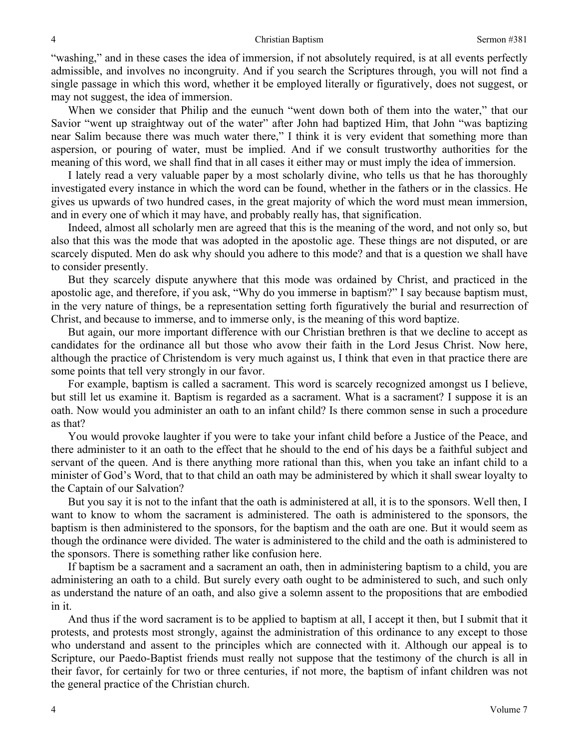"washing," and in these cases the idea of immersion, if not absolutely required, is at all events perfectly admissible, and involves no incongruity. And if you search the Scriptures through, you will not find a single passage in which this word, whether it be employed literally or figuratively, does not suggest, or may not suggest, the idea of immersion.

When we consider that Philip and the eunuch "went down both of them into the water," that our Savior "went up straightway out of the water" after John had baptized Him, that John "was baptizing near Salim because there was much water there," I think it is very evident that something more than aspersion, or pouring of water, must be implied. And if we consult trustworthy authorities for the meaning of this word, we shall find that in all cases it either may or must imply the idea of immersion.

I lately read a very valuable paper by a most scholarly divine, who tells us that he has thoroughly investigated every instance in which the word can be found, whether in the fathers or in the classics. He gives us upwards of two hundred cases, in the great majority of which the word must mean immersion, and in every one of which it may have, and probably really has, that signification.

Indeed, almost all scholarly men are agreed that this is the meaning of the word, and not only so, but also that this was the mode that was adopted in the apostolic age. These things are not disputed, or are scarcely disputed. Men do ask why should you adhere to this mode? and that is a question we shall have to consider presently.

But they scarcely dispute anywhere that this mode was ordained by Christ, and practiced in the apostolic age, and therefore, if you ask, "Why do you immerse in baptism?" I say because baptism must, in the very nature of things, be a representation setting forth figuratively the burial and resurrection of Christ, and because to immerse, and to immerse only, is the meaning of this word baptize.

But again, our more important difference with our Christian brethren is that we decline to accept as candidates for the ordinance all but those who avow their faith in the Lord Jesus Christ. Now here, although the practice of Christendom is very much against us, I think that even in that practice there are some points that tell very strongly in our favor.

For example, baptism is called a sacrament. This word is scarcely recognized amongst us I believe, but still let us examine it. Baptism is regarded as a sacrament. What is a sacrament? I suppose it is an oath. Now would you administer an oath to an infant child? Is there common sense in such a procedure as that?

You would provoke laughter if you were to take your infant child before a Justice of the Peace, and there administer to it an oath to the effect that he should to the end of his days be a faithful subject and servant of the queen. And is there anything more rational than this, when you take an infant child to a minister of God's Word, that to that child an oath may be administered by which it shall swear loyalty to the Captain of our Salvation?

But you say it is not to the infant that the oath is administered at all, it is to the sponsors. Well then, I want to know to whom the sacrament is administered. The oath is administered to the sponsors, the baptism is then administered to the sponsors, for the baptism and the oath are one. But it would seem as though the ordinance were divided. The water is administered to the child and the oath is administered to the sponsors. There is something rather like confusion here.

If baptism be a sacrament and a sacrament an oath, then in administering baptism to a child, you are administering an oath to a child. But surely every oath ought to be administered to such, and such only as understand the nature of an oath, and also give a solemn assent to the propositions that are embodied in it.

And thus if the word sacrament is to be applied to baptism at all, I accept it then, but I submit that it protests, and protests most strongly, against the administration of this ordinance to any except to those who understand and assent to the principles which are connected with it. Although our appeal is to Scripture, our Paedo-Baptist friends must really not suppose that the testimony of the church is all in their favor, for certainly for two or three centuries, if not more, the baptism of infant children was not the general practice of the Christian church.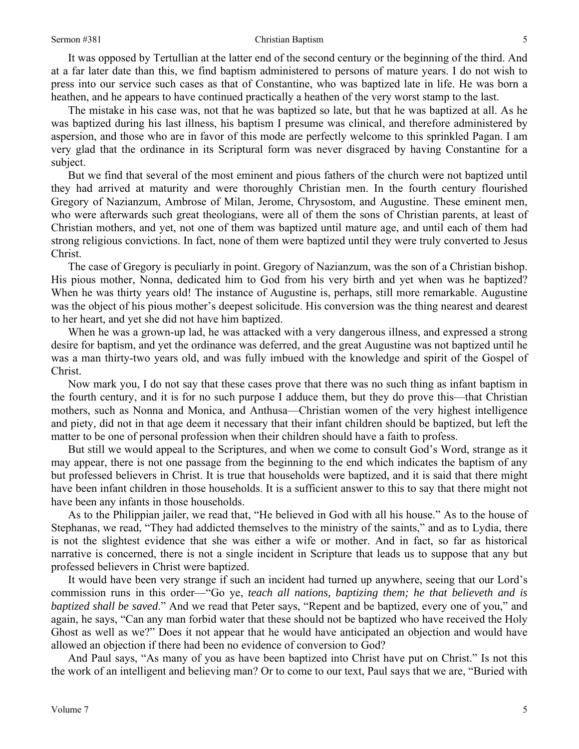### Sermon #381 Christian Baptism

It was opposed by Tertullian at the latter end of the second century or the beginning of the third. And at a far later date than this, we find baptism administered to persons of mature years. I do not wish to press into our service such cases as that of Constantine, who was baptized late in life. He was born a heathen, and he appears to have continued practically a heathen of the very worst stamp to the last.

The mistake in his case was, not that he was baptized so late, but that he was baptized at all. As he was baptized during his last illness, his baptism I presume was clinical, and therefore administered by aspersion, and those who are in favor of this mode are perfectly welcome to this sprinkled Pagan. I am very glad that the ordinance in its Scriptural form was never disgraced by having Constantine for a subject.

But we find that several of the most eminent and pious fathers of the church were not baptized until they had arrived at maturity and were thoroughly Christian men. In the fourth century flourished Gregory of Nazianzum, Ambrose of Milan, Jerome, Chrysostom, and Augustine. These eminent men, who were afterwards such great theologians, were all of them the sons of Christian parents, at least of Christian mothers, and yet, not one of them was baptized until mature age, and until each of them had strong religious convictions. In fact, none of them were baptized until they were truly converted to Jesus Christ.

The case of Gregory is peculiarly in point. Gregory of Nazianzum, was the son of a Christian bishop. His pious mother, Nonna, dedicated him to God from his very birth and yet when was he baptized? When he was thirty years old! The instance of Augustine is, perhaps, still more remarkable. Augustine was the object of his pious mother's deepest solicitude. His conversion was the thing nearest and dearest to her heart, and yet she did not have him baptized.

When he was a grown-up lad, he was attacked with a very dangerous illness, and expressed a strong desire for baptism, and yet the ordinance was deferred, and the great Augustine was not baptized until he was a man thirty-two years old, and was fully imbued with the knowledge and spirit of the Gospel of Christ.

Now mark you, I do not say that these cases prove that there was no such thing as infant baptism in the fourth century, and it is for no such purpose I adduce them, but they do prove this—that Christian mothers, such as Nonna and Monica, and Anthusa—Christian women of the very highest intelligence and piety, did not in that age deem it necessary that their infant children should be baptized, but left the matter to be one of personal profession when their children should have a faith to profess.

But still we would appeal to the Scriptures, and when we come to consult God's Word, strange as it may appear, there is not one passage from the beginning to the end which indicates the baptism of any but professed believers in Christ. It is true that households were baptized, and it is said that there might have been infant children in those households. It is a sufficient answer to this to say that there might not have been any infants in those households.

As to the Philippian jailer, we read that, "He believed in God with all his house." As to the house of Stephanas, we read, "They had addicted themselves to the ministry of the saints," and as to Lydia, there is not the slightest evidence that she was either a wife or mother. And in fact, so far as historical narrative is concerned, there is not a single incident in Scripture that leads us to suppose that any but professed believers in Christ were baptized.

It would have been very strange if such an incident had turned up anywhere, seeing that our Lord's commission runs in this order—"Go ye, *teach all nations, baptizing them; he that believeth and is baptized shall be saved*." And we read that Peter says, "Repent and be baptized, every one of you," and again, he says, "Can any man forbid water that these should not be baptized who have received the Holy Ghost as well as we?" Does it not appear that he would have anticipated an objection and would have allowed an objection if there had been no evidence of conversion to God?

And Paul says, "As many of you as have been baptized into Christ have put on Christ." Is not this the work of an intelligent and believing man? Or to come to our text, Paul says that we are, "Buried with

5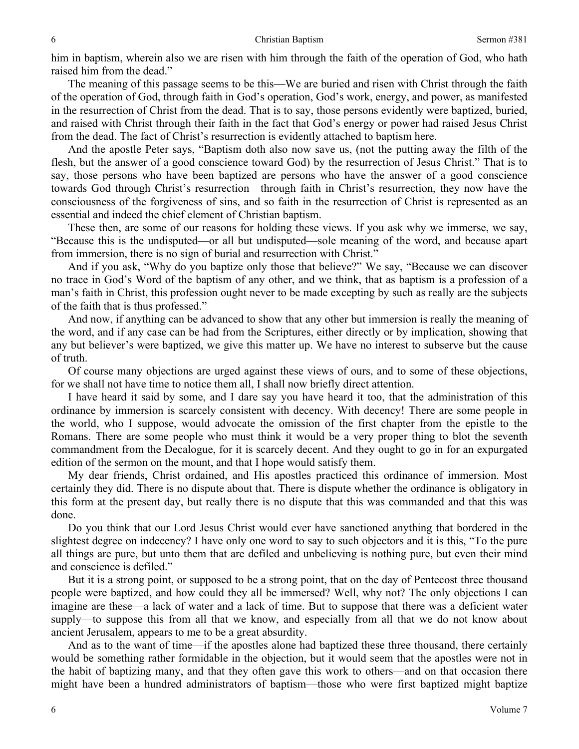him in baptism, wherein also we are risen with him through the faith of the operation of God, who hath raised him from the dead."

The meaning of this passage seems to be this—We are buried and risen with Christ through the faith of the operation of God, through faith in God's operation, God's work, energy, and power, as manifested in the resurrection of Christ from the dead. That is to say, those persons evidently were baptized, buried, and raised with Christ through their faith in the fact that God's energy or power had raised Jesus Christ from the dead. The fact of Christ's resurrection is evidently attached to baptism here.

And the apostle Peter says, "Baptism doth also now save us, (not the putting away the filth of the flesh, but the answer of a good conscience toward God) by the resurrection of Jesus Christ." That is to say, those persons who have been baptized are persons who have the answer of a good conscience towards God through Christ's resurrection—through faith in Christ's resurrection, they now have the consciousness of the forgiveness of sins, and so faith in the resurrection of Christ is represented as an essential and indeed the chief element of Christian baptism.

These then, are some of our reasons for holding these views. If you ask why we immerse, we say, "Because this is the undisputed—or all but undisputed—sole meaning of the word, and because apart from immersion, there is no sign of burial and resurrection with Christ."

And if you ask, "Why do you baptize only those that believe?" We say, "Because we can discover no trace in God's Word of the baptism of any other, and we think, that as baptism is a profession of a man's faith in Christ, this profession ought never to be made excepting by such as really are the subjects of the faith that is thus professed."

And now, if anything can be advanced to show that any other but immersion is really the meaning of the word, and if any case can be had from the Scriptures, either directly or by implication, showing that any but believer's were baptized, we give this matter up. We have no interest to subserve but the cause of truth.

Of course many objections are urged against these views of ours, and to some of these objections, for we shall not have time to notice them all, I shall now briefly direct attention.

I have heard it said by some, and I dare say you have heard it too, that the administration of this ordinance by immersion is scarcely consistent with decency. With decency! There are some people in the world, who I suppose, would advocate the omission of the first chapter from the epistle to the Romans. There are some people who must think it would be a very proper thing to blot the seventh commandment from the Decalogue, for it is scarcely decent. And they ought to go in for an expurgated edition of the sermon on the mount, and that I hope would satisfy them.

My dear friends, Christ ordained, and His apostles practiced this ordinance of immersion. Most certainly they did. There is no dispute about that. There is dispute whether the ordinance is obligatory in this form at the present day, but really there is no dispute that this was commanded and that this was done.

Do you think that our Lord Jesus Christ would ever have sanctioned anything that bordered in the slightest degree on indecency? I have only one word to say to such objectors and it is this, "To the pure all things are pure, but unto them that are defiled and unbelieving is nothing pure, but even their mind and conscience is defiled."

But it is a strong point, or supposed to be a strong point, that on the day of Pentecost three thousand people were baptized, and how could they all be immersed? Well, why not? The only objections I can imagine are these—a lack of water and a lack of time. But to suppose that there was a deficient water supply—to suppose this from all that we know, and especially from all that we do not know about ancient Jerusalem, appears to me to be a great absurdity.

And as to the want of time—if the apostles alone had baptized these three thousand, there certainly would be something rather formidable in the objection, but it would seem that the apostles were not in the habit of baptizing many, and that they often gave this work to others—and on that occasion there might have been a hundred administrators of baptism—those who were first baptized might baptize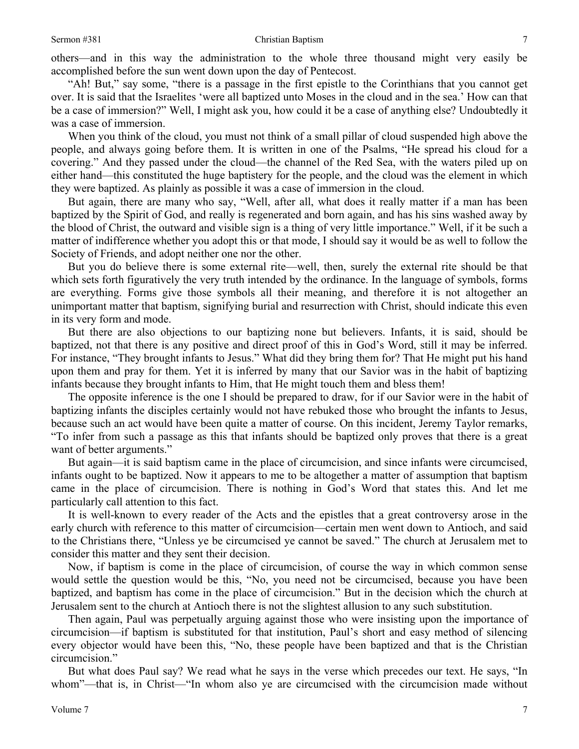others—and in this way the administration to the whole three thousand might very easily be accomplished before the sun went down upon the day of Pentecost.

"Ah! But," say some, "there is a passage in the first epistle to the Corinthians that you cannot get over. It is said that the Israelites 'were all baptized unto Moses in the cloud and in the sea.' How can that be a case of immersion?" Well, I might ask you, how could it be a case of anything else? Undoubtedly it was a case of immersion.

When you think of the cloud, you must not think of a small pillar of cloud suspended high above the people, and always going before them. It is written in one of the Psalms, "He spread his cloud for a covering." And they passed under the cloud—the channel of the Red Sea, with the waters piled up on either hand—this constituted the huge baptistery for the people, and the cloud was the element in which they were baptized. As plainly as possible it was a case of immersion in the cloud.

But again, there are many who say, "Well, after all, what does it really matter if a man has been baptized by the Spirit of God, and really is regenerated and born again, and has his sins washed away by the blood of Christ, the outward and visible sign is a thing of very little importance." Well, if it be such a matter of indifference whether you adopt this or that mode, I should say it would be as well to follow the Society of Friends, and adopt neither one nor the other.

But you do believe there is some external rite—well, then, surely the external rite should be that which sets forth figuratively the very truth intended by the ordinance. In the language of symbols, forms are everything. Forms give those symbols all their meaning, and therefore it is not altogether an unimportant matter that baptism, signifying burial and resurrection with Christ, should indicate this even in its very form and mode.

But there are also objections to our baptizing none but believers. Infants, it is said, should be baptized, not that there is any positive and direct proof of this in God's Word, still it may be inferred. For instance, "They brought infants to Jesus." What did they bring them for? That He might put his hand upon them and pray for them. Yet it is inferred by many that our Savior was in the habit of baptizing infants because they brought infants to Him, that He might touch them and bless them!

The opposite inference is the one I should be prepared to draw, for if our Savior were in the habit of baptizing infants the disciples certainly would not have rebuked those who brought the infants to Jesus, because such an act would have been quite a matter of course. On this incident, Jeremy Taylor remarks, "To infer from such a passage as this that infants should be baptized only proves that there is a great want of better arguments."

But again—it is said baptism came in the place of circumcision, and since infants were circumcised, infants ought to be baptized. Now it appears to me to be altogether a matter of assumption that baptism came in the place of circumcision. There is nothing in God's Word that states this. And let me particularly call attention to this fact.

It is well-known to every reader of the Acts and the epistles that a great controversy arose in the early church with reference to this matter of circumcision—certain men went down to Antioch, and said to the Christians there, "Unless ye be circumcised ye cannot be saved." The church at Jerusalem met to consider this matter and they sent their decision.

Now, if baptism is come in the place of circumcision, of course the way in which common sense would settle the question would be this, "No, you need not be circumcised, because you have been baptized, and baptism has come in the place of circumcision." But in the decision which the church at Jerusalem sent to the church at Antioch there is not the slightest allusion to any such substitution.

Then again, Paul was perpetually arguing against those who were insisting upon the importance of circumcision—if baptism is substituted for that institution, Paul's short and easy method of silencing every objector would have been this, "No, these people have been baptized and that is the Christian circumcision."

But what does Paul say? We read what he says in the verse which precedes our text. He says, "In whom"—that is, in Christ—"In whom also ye are circumcised with the circumcision made without

7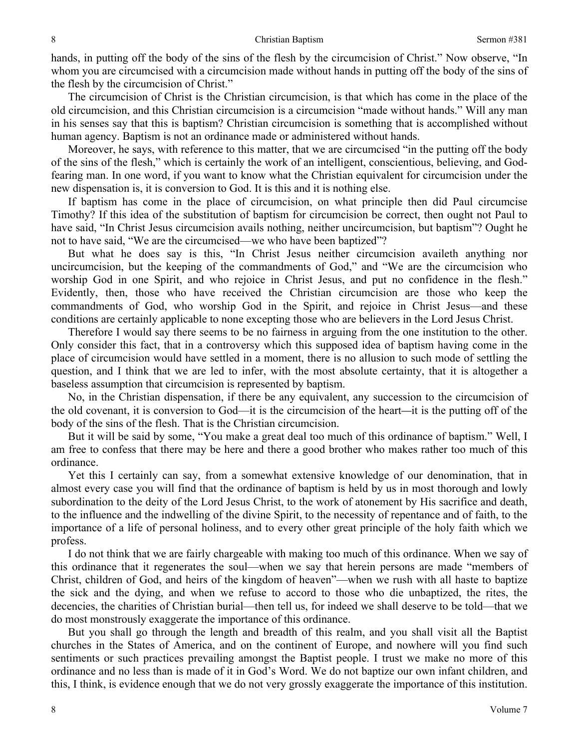hands, in putting off the body of the sins of the flesh by the circumcision of Christ." Now observe, "In whom you are circumcised with a circumcision made without hands in putting off the body of the sins of the flesh by the circumcision of Christ."

The circumcision of Christ is the Christian circumcision, is that which has come in the place of the old circumcision, and this Christian circumcision is a circumcision "made without hands." Will any man in his senses say that this is baptism? Christian circumcision is something that is accomplished without human agency. Baptism is not an ordinance made or administered without hands.

Moreover, he says, with reference to this matter, that we are circumcised "in the putting off the body of the sins of the flesh," which is certainly the work of an intelligent, conscientious, believing, and Godfearing man. In one word, if you want to know what the Christian equivalent for circumcision under the new dispensation is, it is conversion to God. It is this and it is nothing else.

If baptism has come in the place of circumcision, on what principle then did Paul circumcise Timothy? If this idea of the substitution of baptism for circumcision be correct, then ought not Paul to have said, "In Christ Jesus circumcision avails nothing, neither uncircumcision, but baptism"? Ought he not to have said, "We are the circumcised—we who have been baptized"?

But what he does say is this, "In Christ Jesus neither circumcision availeth anything nor uncircumcision, but the keeping of the commandments of God," and "We are the circumcision who worship God in one Spirit, and who rejoice in Christ Jesus, and put no confidence in the flesh." Evidently, then, those who have received the Christian circumcision are those who keep the commandments of God, who worship God in the Spirit, and rejoice in Christ Jesus—and these conditions are certainly applicable to none excepting those who are believers in the Lord Jesus Christ.

Therefore I would say there seems to be no fairness in arguing from the one institution to the other. Only consider this fact, that in a controversy which this supposed idea of baptism having come in the place of circumcision would have settled in a moment, there is no allusion to such mode of settling the question, and I think that we are led to infer, with the most absolute certainty, that it is altogether a baseless assumption that circumcision is represented by baptism.

No, in the Christian dispensation, if there be any equivalent, any succession to the circumcision of the old covenant, it is conversion to God—it is the circumcision of the heart*—*it is the putting off of the body of the sins of the flesh. That is the Christian circumcision.

But it will be said by some, "You make a great deal too much of this ordinance of baptism." Well, I am free to confess that there may be here and there a good brother who makes rather too much of this ordinance.

Yet this I certainly can say, from a somewhat extensive knowledge of our denomination, that in almost every case you will find that the ordinance of baptism is held by us in most thorough and lowly subordination to the deity of the Lord Jesus Christ, to the work of atonement by His sacrifice and death, to the influence and the indwelling of the divine Spirit, to the necessity of repentance and of faith, to the importance of a life of personal holiness, and to every other great principle of the holy faith which we profess.

I do not think that we are fairly chargeable with making too much of this ordinance. When we say of this ordinance that it regenerates the soul—when we say that herein persons are made "members of Christ, children of God, and heirs of the kingdom of heaven"—when we rush with all haste to baptize the sick and the dying, and when we refuse to accord to those who die unbaptized, the rites, the decencies, the charities of Christian burial—then tell us, for indeed we shall deserve to be told—that we do most monstrously exaggerate the importance of this ordinance.

But you shall go through the length and breadth of this realm, and you shall visit all the Baptist churches in the States of America, and on the continent of Europe, and nowhere will you find such sentiments or such practices prevailing amongst the Baptist people. I trust we make no more of this ordinance and no less than is made of it in God's Word. We do not baptize our own infant children, and this, I think, is evidence enough that we do not very grossly exaggerate the importance of this institution.